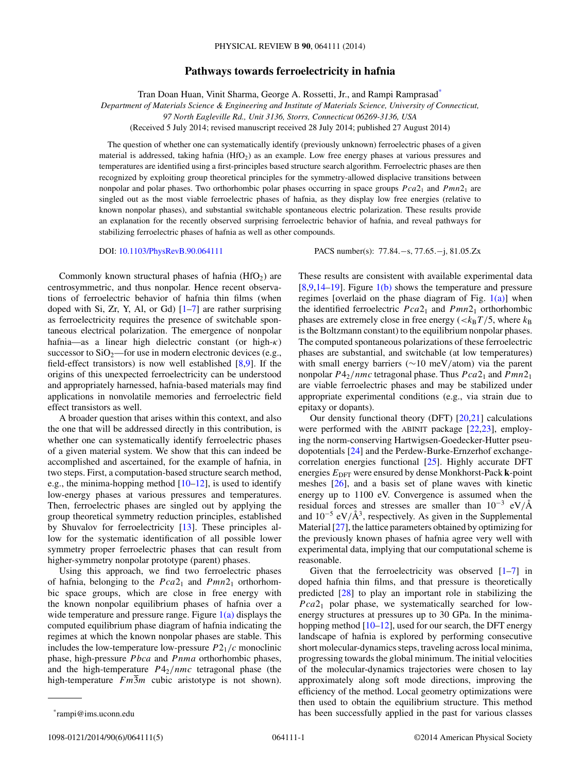## **Pathways towards ferroelectricity in hafnia**

Tran Doan Huan, Vinit Sharma, George A. Rossetti, Jr., and Rampi Ramprasad\*

*Department of Materials Science & Engineering and Institute of Materials Science, University of Connecticut,*

*97 North Eagleville Rd., Unit 3136, Storrs, Connecticut 06269-3136, USA*

(Received 5 July 2014; revised manuscript received 28 July 2014; published 27 August 2014)

The question of whether one can systematically identify (previously unknown) ferroelectric phases of a given material is addressed, taking hafnia (HfO<sub>2</sub>) as an example. Low free energy phases at various pressures and temperatures are identified using a first-principles based structure search algorithm. Ferroelectric phases are then recognized by exploiting group theoretical principles for the symmetry-allowed displacive transitions between nonpolar and polar phases. Two orthorhombic polar phases occurring in space groups *Pca*21 and *Pmn*21 are singled out as the most viable ferroelectric phases of hafnia, as they display low free energies (relative to known nonpolar phases), and substantial switchable spontaneous electric polarization. These results provide an explanation for the recently observed surprising ferroelectric behavior of hafnia, and reveal pathways for stabilizing ferroelectric phases of hafnia as well as other compounds.

DOI: [10.1103/PhysRevB.90.064111](http://dx.doi.org/10.1103/PhysRevB.90.064111) PACS number(s): 77*.*84*.*−s*,* 77*.*65*.*−j*,* 81*.*05*.*Zx

Commonly known structural phases of hafnia  $(HfO<sub>2</sub>)$  are centrosymmetric, and thus nonpolar. Hence recent observations of ferroelectric behavior of hafnia thin films (when doped with Si, Zr, Y, Al, or Gd)  $[1-7]$  are rather surprising as ferroelectricity requires the presence of switchable spontaneous electrical polarization. The emergence of nonpolar hafnia—as a linear high dielectric constant (or high-*κ*) successor to  $SiO<sub>2</sub>$ —for use in modern electronic devices (e.g., field-effect transistors) is now well established  $[8,9]$ . If the origins of this unexpected ferroelectricity can be understood and appropriately harnessed, hafnia-based materials may find applications in nonvolatile memories and ferroelectric field effect transistors as well.

A broader question that arises within this context, and also the one that will be addressed directly in this contribution, is whether one can systematically identify ferroelectric phases of a given material system. We show that this can indeed be accomplished and ascertained, for the example of hafnia, in two steps. First, a computation-based structure search method, e.g., the minima-hopping method  $[10-12]$  $[10-12]$ , is used to identify low-energy phases at various pressures and temperatures. Then, ferroelectric phases are singled out by applying the group theoretical symmetry reduction principles, established by Shuvalov for ferroelectricity [\[13\]](#page-4-0). These principles allow for the systematic identification of all possible lower symmetry proper ferroelectric phases that can result from higher-symmetry nonpolar prototype (parent) phases.

Using this approach, we find two ferroelectric phases of hafnia, belonging to the  $Pca2<sub>1</sub>$  and  $Pmn2<sub>1</sub>$  orthorhombic space groups, which are close in free energy with the known nonpolar equilibrium phases of hafnia over a wide temperature and pressure range. Figure  $1(a)$  displays the computed equilibrium phase diagram of hafnia indicating the regimes at which the known nonpolar phases are stable. This includes the low-temperature low-pressure  $P2<sub>1</sub>/c$  monoclinic phase, high-pressure *Pbca* and *Pnma* orthorhombic phases, and the high-temperature *P*42*/nmc* tetragonal phase (the high-temperature  $Fm\overline{3}m$  cubic aristotype is not shown).

These results are consistent with available experimental data  $[8,9,14-19]$  $[8,9,14-19]$ . Figure  $1(b)$  shows the temperature and pressure regimes [overlaid on the phase diagram of Fig.  $1(a)$ ] when the identified ferroelectric *Pca*21 and *Pmn*21 orthorhombic phases are extremely close in free energy  $\left(\frac{k_B T}{5}\right)$ , where  $k_B$ is the Boltzmann constant) to the equilibrium nonpolar phases. The computed spontaneous polarizations of these ferroelectric phases are substantial, and switchable (at low temperatures) with small energy barriers (∼10 meV*/*atom) via the parent nonpolar  $P_2$ /nmc tetragonal phase. Thus  $Pca2_1$  and  $Pmn2_1$ are viable ferroelectric phases and may be stabilized under appropriate experimental conditions (e.g., via strain due to epitaxy or dopants).

Our density functional theory (DFT) [\[20,21\]](#page-4-0) calculations were performed with the ABINIT package [\[22,23\]](#page-4-0), employing the norm-conserving Hartwigsen-Goedecker-Hutter pseudopotentials [\[24\]](#page-4-0) and the Perdew-Burke-Ernzerhof exchangecorrelation energies functional [\[25\]](#page-4-0). Highly accurate DFT energies  $E_{\text{DFT}}$  were ensured by dense Monkhorst-Pack **k**-point meshes [\[26\]](#page-4-0), and a basis set of plane waves with kinetic energy up to 1100 eV. Convergence is assumed when the residual forces and stresses are smaller than 10−<sup>3</sup> eV*/*A˚ and  $10^{-5}$  eV/ $\AA^3$ , respectively. As given in the Supplemental Material [\[27\]](#page-4-0), the lattice parameters obtained by optimizing for the previously known phases of hafnia agree very well with experimental data, implying that our computational scheme is reasonable.

Given that the ferroelectricity was observed  $[1-7]$  in doped hafnia thin films, and that pressure is theoretically predicted [\[28\]](#page-4-0) to play an important role in stabilizing the *Pca*21 polar phase, we systematically searched for lowenergy structures at pressures up to 30 GPa. In the minima-hopping method [\[10](#page-3-0)[–12\]](#page-4-0), used for our search, the DFT energy landscape of hafnia is explored by performing consecutive short molecular-dynamics steps, traveling across local minima, progressing towards the global minimum. The initial velocities of the molecular-dynamics trajectories were chosen to lay approximately along soft mode directions, improving the efficiency of the method. Local geometry optimizations were then used to obtain the equilibrium structure. This method has been successfully applied in the past for various classes

<sup>\*</sup>rampi@ims.uconn.edu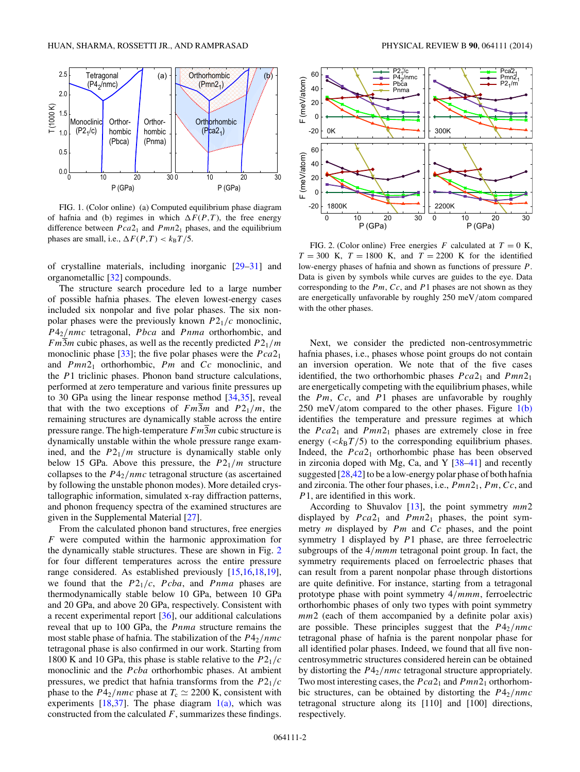<span id="page-1-0"></span>

FIG. 1. (Color online) (a) Computed equilibrium phase diagram of hafnia and (b) regimes in which  $\Delta F(P,T)$ , the free energy difference between  $Pca2_1$  and  $Pmn2_1$  phases, and the equilibrium phases are small, i.e.,  $\Delta F(P,T) < k_B T/5$ .

of crystalline materials, including inorganic [\[29–31\]](#page-4-0) and organometallic [\[32\]](#page-4-0) compounds.

The structure search procedure led to a large number of possible hafnia phases. The eleven lowest-energy cases included six nonpolar and five polar phases. The six nonpolar phases were the previously known *P*21*/c* monoclinic, *P*42*/nmc* tetragonal, *Pbca* and *Pnma* orthorhombic, and *Fm*3*m* cubic phases, as well as the recently predicted  $P2_1/m$ monoclinic phase [\[33\]](#page-4-0); the five polar phases were the *Pca*21 and *Pmn*21 orthorhombic, *Pm* and *Cc* monoclinic, and the *P*1 triclinic phases. Phonon band structure calculations, performed at zero temperature and various finite pressures up to 30 GPa using the linear response method [\[34,35\]](#page-4-0), reveal that with the two exceptions of  $Fm3m$  and  $P21/m$ , the remaining structures are dynamically stable across the entire pressure range. The high-temperature *Fm*3*m* cubic structure is dynamically unstable within the whole pressure range examined, and the  $P2_1/m$  structure is dynamically stable only below 15 GPa. Above this pressure, the *P*21*/m* structure collapses to the *P*42*/nmc* tetragonal structure (as ascertained by following the unstable phonon modes). More detailed crystallographic information, simulated x-ray diffraction patterns, and phonon frequency spectra of the examined structures are given in the Supplemental Material [\[27\]](#page-4-0).

From the calculated phonon band structures, free energies *F* were computed within the harmonic approximation for the dynamically stable structures. These are shown in Fig. 2 for four different temperatures across the entire pressure range considered. As established previously [\[15,16,18,19\]](#page-4-0), we found that the *P*21*/c*, *Pcba*, and *Pnma* phases are thermodynamically stable below 10 GPa, between 10 GPa and 20 GPa, and above 20 GPa, respectively. Consistent with a recent experimental report [\[36\]](#page-4-0), our additional calculations reveal that up to 100 GPa, the *Pnma* structure remains the most stable phase of hafnia. The stabilization of the *P*42*/nmc* tetragonal phase is also confirmed in our work. Starting from 1800 K and 10 GPa, this phase is stable relative to the *P*21*/c* monoclinic and the *Pcba* orthorhombic phases. At ambient pressures, we predict that hafnia transforms from the *P*21*/c* phase to the  $P4_2/nmc$  phase at  $T_c \simeq 2200$  K, consistent with experiments  $[18,37]$ . The phase diagram  $1(a)$ , which was constructed from the calculated *F*, summarizes these findings.



FIG. 2. (Color online) Free energies  $F$  calculated at  $T = 0$  K,  $T = 300$  K,  $T = 1800$  K, and  $T = 2200$  K for the identified low-energy phases of hafnia and shown as functions of pressure *P*. Data is given by symbols while curves are guides to the eye. Data corresponding to the *Pm*, *Cc*, and *P*1 phases are not shown as they are energetically unfavorable by roughly 250 meV*/*atom compared with the other phases.

Next, we consider the predicted non-centrosymmetric hafnia phases, i.e., phases whose point groups do not contain an inversion operation. We note that of the five cases identified, the two orthorhombic phases  $Pca2_1$  and  $Pmn2_1$ are energetically competing with the equilibrium phases, while the *Pm*, *Cc*, and *P*1 phases are unfavorable by roughly 250 meV*/*atom compared to the other phases. Figure 1(b) identifies the temperature and pressure regimes at which the  $Pca2_1$  and  $Pmn2_1$  phases are extremely close in free energy  $( $k_B T/5$ )$  to the corresponding equilibrium phases. Indeed, the *Pca*2<sub>1</sub> orthorhombic phase has been observed in zirconia doped with Mg, Ca, and Y [\[38–41\]](#page-4-0) and recently suggested [\[28,42\]](#page-4-0) to be a low-energy polar phase of both hafnia and zirconia. The other four phases, i.e., *Pmn*21, *Pm*, *Cc*, and *P*1, are identified in this work.

According to Shuvalov [\[13\]](#page-4-0), the point symmetry *mm*2 displayed by  $Pca2_1$  and  $Pmn2_1$  phases, the point symmetry *m* displayed by *Pm* and *Cc* phases, and the point symmetry 1 displayed by *P*1 phase, are three ferroelectric subgroups of the 4*/mmm* tetragonal point group. In fact, the symmetry requirements placed on ferroelectric phases that can result from a parent nonpolar phase through distortions are quite definitive. For instance, starting from a tetragonal prototype phase with point symmetry 4*/mmm*, ferroelectric orthorhombic phases of only two types with point symmetry *mm*2 (each of them accompanied by a definite polar axis) are possible. These principles suggest that the  $P4_2/nmc$ tetragonal phase of hafnia is the parent nonpolar phase for all identified polar phases. Indeed, we found that all five noncentrosymmetric structures considered herein can be obtained by distorting the *P*42*/nmc* tetragonal structure appropriately. Two most interesting cases, the  $Pca2_1$  and  $Pmn2_1$  orthorhombic structures, can be obtained by distorting the  $P4_2/nmc$ tetragonal structure along its [110] and [100] directions, respectively.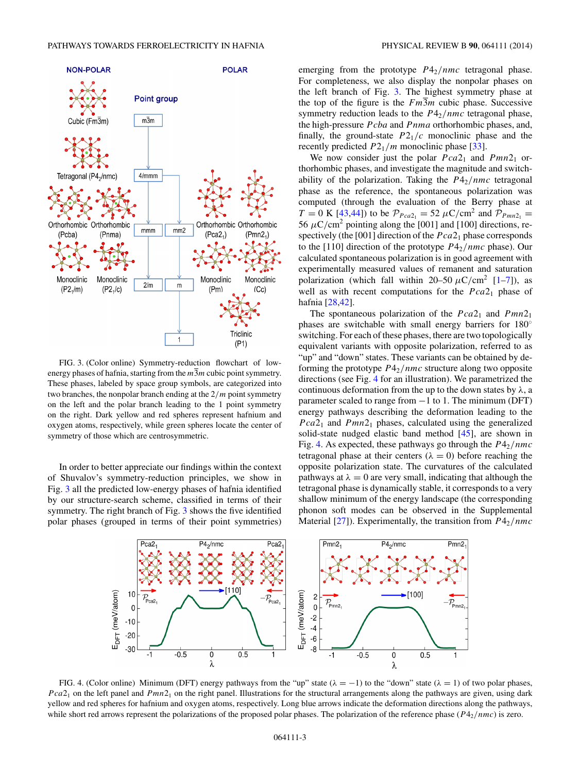<span id="page-2-0"></span>

FIG. 3. (Color online) Symmetry-reduction flowchart of lowenergy phases of hafnia, starting from the  $m\overline{3}m$  cubic point symmetry. These phases, labeled by space group symbols, are categorized into two branches, the nonpolar branch ending at the 2*/m* point symmetry on the left and the polar branch leading to the 1 point symmetry on the right. Dark yellow and red spheres represent hafnium and oxygen atoms, respectively, while green spheres locate the center of symmetry of those which are centrosymmetric.

In order to better appreciate our findings within the context of Shuvalov's symmetry-reduction principles, we show in Fig. 3 all the predicted low-energy phases of hafnia identified by our structure-search scheme, classified in terms of their symmetry. The right branch of Fig. 3 shows the five identified polar phases (grouped in terms of their point symmetries) emerging from the prototype  $P4_2/nmc$  tetragonal phase. For completeness, we also display the nonpolar phases on the left branch of Fig. 3. The highest symmetry phase at the top of the figure is the  $Fm\overline{3}m$  cubic phase. Successive symmetry reduction leads to the *P*42*/nmc* tetragonal phase, the high-pressure *Pcba* and *Pnma* orthorhombic phases, and, finally, the ground-state  $P2_1/c$  monoclinic phase and the recently predicted  $P2_1/m$  monoclinic phase [\[33\]](#page-4-0).

We now consider just the polar  $Pca2_1$  and  $Pmn2_1$  orthorhombic phases, and investigate the magnitude and switchability of the polarization. Taking the  $P4_2/nmc$  tetragonal phase as the reference, the spontaneous polarization was computed (through the evaluation of the Berry phase at  $T = 0$  K [\[43,44\]](#page-4-0)) to be  $P_{Pca2_1} = 52 \mu C/cm^2$  and  $P_{Pmn2_1} =$ 56  $\mu$ C/cm<sup>2</sup> pointing along the [001] and [100] directions, respectively (the [001] direction of the  $Pca2<sub>1</sub>$  phase corresponds to the [110] direction of the prototype  $P4_2/nmc$  phase). Our calculated spontaneous polarization is in good agreement with experimentally measured values of remanent and saturation polarization (which fall within  $20-50 \mu C/cm^2$  [\[1–7\]](#page-3-0)), as well as with recent computations for the  $Pca2<sub>1</sub>$  phase of hafnia [\[28,42\]](#page-4-0).

The spontaneous polarization of the  $Pca2_1$  and  $Pmn2_1$ phases are switchable with small energy barriers for 180<sup>°</sup> switching. For each of these phases, there are two topologically equivalent variants with opposite polarization, referred to as "up" and "down" states. These variants can be obtained by deforming the prototype *P*42*/nmc* structure along two opposite directions (see Fig. 4 for an illustration). We parametrized the continuous deformation from the up to the down states by *λ*, a parameter scaled to range from −1 to 1. The minimum (DFT) energy pathways describing the deformation leading to the *Pca*21 and *Pmn*21 phases, calculated using the generalized solid-state nudged elastic band method [\[45\]](#page-4-0), are shown in Fig. 4. As expected, these pathways go through the  $P4<sub>2</sub>/nmc$ tetragonal phase at their centers ( $\lambda = 0$ ) before reaching the opposite polarization state. The curvatures of the calculated pathways at  $\lambda = 0$  are very small, indicating that although the tetragonal phase is dynamically stable, it corresponds to a very shallow minimum of the energy landscape (the corresponding phonon soft modes can be observed in the Supplemental Material [\[27\]](#page-4-0)). Experimentally, the transition from *P*42*/nmc*



FIG. 4. (Color online) Minimum (DFT) energy pathways from the "up" state ( $\lambda = -1$ ) to the "down" state ( $\lambda = 1$ ) of two polar phases, *Pca*<sup>2</sup><sub>1</sub> on the left panel and *Pmn*<sup>2</sup><sub>1</sub> on the right panel. Illustrations for the structural arrangements along the pathways are given, using dark yellow and red spheres for hafnium and oxygen atoms, respectively. Long blue arrows indicate the deformation directions along the pathways, while short red arrows represent the polarizations of the proposed polar phases. The polarization of the reference phase (*P*42*/nmc*) is zero.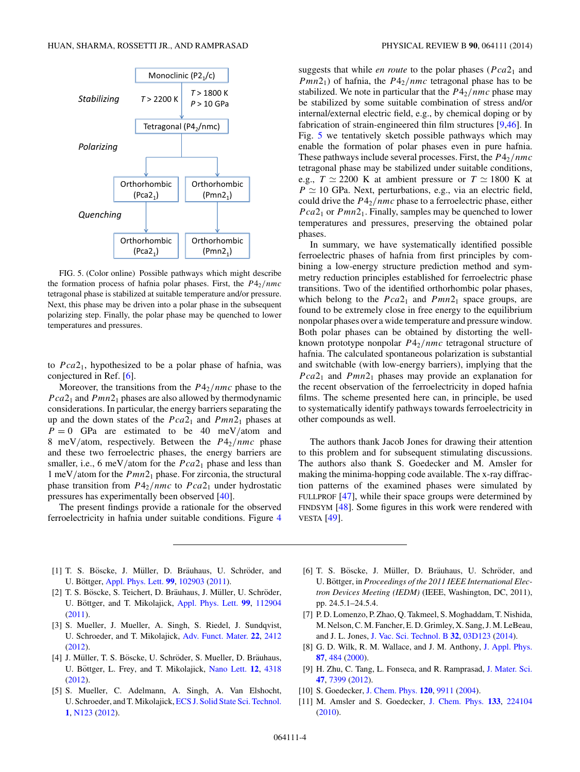<span id="page-3-0"></span>

FIG. 5. (Color online) Possible pathways which might describe the formation process of hafnia polar phases. First, the  $P4_2/nmc$ tetragonal phase is stabilized at suitable temperature and/or pressure. Next, this phase may be driven into a polar phase in the subsequent polarizing step. Finally, the polar phase may be quenched to lower temperatures and pressures.

to *Pca*21, hypothesized to be a polar phase of hafnia, was conjectured in Ref. [6].

Moreover, the transitions from the *P*42*/nmc* phase to the *Pca*2<sub>1</sub> and *Pmn*<sup>2</sup><sub>1</sub> phases are also allowed by thermodynamic considerations. In particular, the energy barriers separating the up and the down states of the *Pca*21 and *Pmn*21 phases at  $P = 0$  GPa are estimated to be 40 meV/atom and 8 meV*/*atom, respectively. Between the *P*42*/nmc* phase and these two ferroelectric phases, the energy barriers are smaller, i.e., 6 meV/atom for the  $Pca2<sub>1</sub>$  phase and less than 1 meV*/*atom for the *Pmn*21 phase. For zirconia, the structural phase transition from  $P4_2/nmc$  to  $Pca2_1$  under hydrostatic pressures has experimentally been observed [\[40\]](#page-4-0).

The present findings provide a rationale for the observed ferroelectricity in hafnia under suitable conditions. Figure [4](#page-2-0)

- [1] T. S. Böscke, J. Müller, D. Bräuhaus, U. Schröder, and U. Böttger, [Appl. Phys. Lett.](http://dx.doi.org/10.1063/1.3634052) **[99](http://dx.doi.org/10.1063/1.3634052)**, [102903](http://dx.doi.org/10.1063/1.3634052) [\(2011\)](http://dx.doi.org/10.1063/1.3634052).
- [2] T. S. Böscke, S. Teichert, D. Bräuhaus, J. Müller, U. Schröder, U. Böttger, and T. Mikolajick, [Appl. Phys. Lett.](http://dx.doi.org/10.1063/1.3636434) [99](http://dx.doi.org/10.1063/1.3636434), [112904](http://dx.doi.org/10.1063/1.3636434) [\(2011\)](http://dx.doi.org/10.1063/1.3636434).
- [3] S. Mueller, J. Mueller, A. Singh, S. Riedel, J. Sundqvist, U. Schroeder, and T. Mikolajick, [Adv. Funct. Mater.](http://dx.doi.org/10.1002/adfm.201103119) **[22](http://dx.doi.org/10.1002/adfm.201103119)**, [2412](http://dx.doi.org/10.1002/adfm.201103119) [\(2012\)](http://dx.doi.org/10.1002/adfm.201103119).
- [4] J. Müller, T. S. Böscke, U. Schröder, S. Mueller, D. Bräuhaus, U. Böttger, L. Frey, and T. Mikolajick, [Nano Lett.](http://dx.doi.org/10.1021/nl302049k) [12](http://dx.doi.org/10.1021/nl302049k), [4318](http://dx.doi.org/10.1021/nl302049k) [\(2012\)](http://dx.doi.org/10.1021/nl302049k).
- [5] S. Mueller, C. Adelmann, A. Singh, A. Van Elshocht, U. Schroeder, and T. Mikolajick, [ECS J. Solid State Sci. Technol.](http://dx.doi.org/10.1149/2.002301jss) **[1](http://dx.doi.org/10.1149/2.002301jss)**, [N123](http://dx.doi.org/10.1149/2.002301jss) [\(2012\)](http://dx.doi.org/10.1149/2.002301jss).

suggests that while *en route* to the polar phases ( $Pca2<sub>1</sub>$  and *Pmn*21) of hafnia, the *P*42*/nmc* tetragonal phase has to be stabilized. We note in particular that the  $P4_2/nmc$  phase may be stabilized by some suitable combination of stress and/or internal/external electric field, e.g., by chemical doping or by fabrication of strain-engineered thin film structures [9[,46\]](#page-4-0). In Fig. 5 we tentatively sketch possible pathways which may enable the formation of polar phases even in pure hafnia. These pathways include several processes. First, the *P*42*/nmc* tetragonal phase may be stabilized under suitable conditions, e.g.,  $T \simeq 2200$  K at ambient pressure or  $T \simeq 1800$  K at  $P \simeq 10$  GPa. Next, perturbations, e.g., via an electric field, could drive the *P*42*/nmc* phase to a ferroelectric phase, either *Pca*<sup>2</sup><sub>1</sub> or *Pmn*<sup>2</sup><sub>1</sub>. Finally, samples may be quenched to lower temperatures and pressures, preserving the obtained polar phases.

In summary, we have systematically identified possible ferroelectric phases of hafnia from first principles by combining a low-energy structure prediction method and symmetry reduction principles established for ferroelectric phase transitions. Two of the identified orthorhombic polar phases, which belong to the  $Pca2_1$  and  $Pmn2_1$  space groups, are found to be extremely close in free energy to the equilibrium nonpolar phases over a wide temperature and pressure window. Both polar phases can be obtained by distorting the wellknown prototype nonpolar *P*42*/nmc* tetragonal structure of hafnia. The calculated spontaneous polarization is substantial and switchable (with low-energy barriers), implying that the *Pca*21 and *Pmn*21 phases may provide an explanation for the recent observation of the ferroelectricity in doped hafnia films. The scheme presented here can, in principle, be used to systematically identify pathways towards ferroelectricity in other compounds as well.

The authors thank Jacob Jones for drawing their attention to this problem and for subsequent stimulating discussions. The authors also thank S. Goedecker and M. Amsler for making the minima-hopping code available. The x-ray diffraction patterns of the examined phases were simulated by FULLPROF [\[47\]](#page-4-0), while their space groups were determined by FINDSYM [\[48\]](#page-4-0). Some figures in this work were rendered with VESTA [\[49\]](#page-4-0).

- [6] T. S. Böscke, J. Müller, D. Bräuhaus, U. Schröder, and U. Böttger, in Proceedings of the 2011 IEEE International Elec*tron Devices Meeting (IEDM)* (IEEE, Washington, DC, 2011), pp. 24.5.1–24.5.4.
- [7] P. D. Lomenzo, P. Zhao, Q. Takmeel, S. Moghaddam, T. Nishida, M. Nelson, C. M. Fancher, E. D. Grimley, X. Sang, J. M. LeBeau, and J. L. Jones, [J. Vac. Sci. Technol. B](http://dx.doi.org/10.1116/1.4873323) **[32](http://dx.doi.org/10.1116/1.4873323)**, [03D123](http://dx.doi.org/10.1116/1.4873323) [\(2014\)](http://dx.doi.org/10.1116/1.4873323).
- [8] G. D. Wilk, R. M. Wallace, and J. M. Anthony, [J. Appl. Phys.](http://dx.doi.org/10.1063/1.371888) **[87](http://dx.doi.org/10.1063/1.371888)**, [484](http://dx.doi.org/10.1063/1.371888) [\(2000\)](http://dx.doi.org/10.1063/1.371888).
- [9] H. Zhu, C. Tang, L. Fonseca, and R. Ramprasad, [J. Mater. Sci.](http://dx.doi.org/10.1007/s10853-012-6568-y) **[47](http://dx.doi.org/10.1007/s10853-012-6568-y)**, [7399](http://dx.doi.org/10.1007/s10853-012-6568-y) [\(2012\)](http://dx.doi.org/10.1007/s10853-012-6568-y).
- [10] S. Goedecker, [J. Chem. Phys.](http://dx.doi.org/10.1063/1.1724816) **[120](http://dx.doi.org/10.1063/1.1724816)**, [9911](http://dx.doi.org/10.1063/1.1724816) [\(2004\)](http://dx.doi.org/10.1063/1.1724816).
- [11] M. Amsler and S. Goedecker, [J. Chem. Phys.](http://dx.doi.org/10.1063/1.3512900) **[133](http://dx.doi.org/10.1063/1.3512900)**, [224104](http://dx.doi.org/10.1063/1.3512900) [\(2010\)](http://dx.doi.org/10.1063/1.3512900).